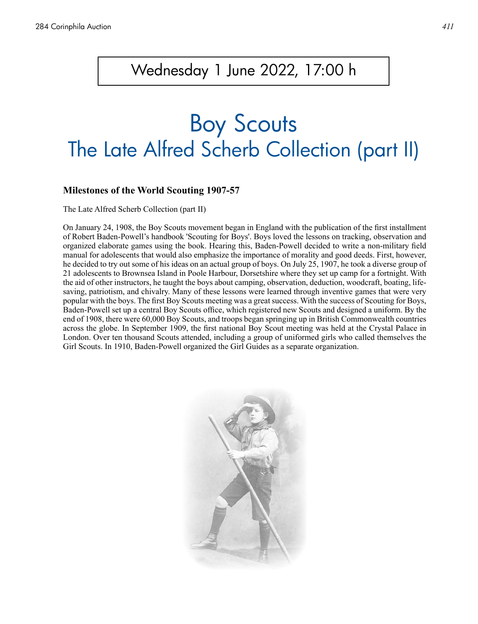## Wednesday 1 June 2022, 17:00 h

# Boy Scouts The Late Alfred Scherb Collection (part II)

#### **Milestones of the World Scouting 1907-57**

The Late Alfred Scherb Collection (part II)

On January 24, 1908, the Boy Scouts movement began in England with the publication of the first installment of Robert Baden-Powell's handbook 'Scouting for Boys'. Boys loved the lessons on tracking, observation and organized elaborate games using the book. Hearing this, Baden-Powell decided to write a non-military field manual for adolescents that would also emphasize the importance of morality and good deeds. First, however, he decided to try out some of his ideas on an actual group of boys. On July 25, 1907, he took a diverse group of 21 adolescents to Brownsea Island in Poole Harbour, Dorsetshire where they set up camp for a fortnight. With the aid of other instructors, he taught the boys about camping, observation, deduction, woodcraft, boating, lifesaving, patriotism, and chivalry. Many of these lessons were learned through inventive games that were very popular with the boys. The first Boy Scouts meeting was a great success. With the success of Scouting for Boys, Baden-Powell set up a central Boy Scouts office, which registered new Scouts and designed a uniform. By the end of 1908, there were 60,000 Boy Scouts, and troops began springing up in British Commonwealth countries across the globe. In September 1909, the first national Boy Scout meeting was held at the Crystal Palace in London. Over ten thousand Scouts attended, including a group of uniformed girls who called themselves the Girl Scouts. In 1910, Baden-Powell organized the Girl Guides as a separate organization.

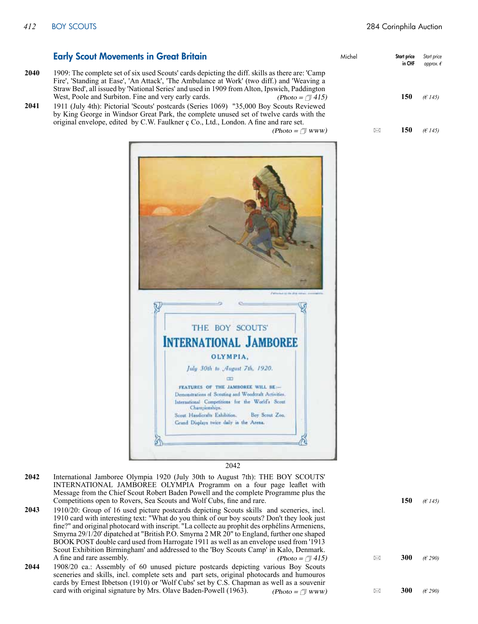|      | <b>Early Scout Movements in Great Britain</b>                                                                                                                                                                                                                                                                                                                 | Michel | Start price<br>in CHF | Start price<br>approx. |
|------|---------------------------------------------------------------------------------------------------------------------------------------------------------------------------------------------------------------------------------------------------------------------------------------------------------------------------------------------------------------|--------|-----------------------|------------------------|
| 2040 | 1909: The complete set of six used Scouts' cards depicting the diff. skills as there are: 'Camp'<br>Fire', 'Standing at Ease', 'An Attack', 'The Ambulance at Work' (two diff.) and 'Weaving a<br>Straw Bed', all issued by 'National Series' and used in 1909 from Alton, Ipswich, Paddington                                                                |        |                       |                        |
| 2041 | West, Poole and Surbiton. Fine and very early cards.<br>(Photo = $\sqrt{ }$ 415)<br>1911 (July 4th): Pictorial 'Scouts' postcards (Series 1069) "35,000 Boy Scouts Reviewed<br>by King George in Windsor Great Park, the complete unused set of twelve cards with the<br>original envelope, edited by C.W. Faulkner c Co., Ltd., London. A fine and rare set. |        | 150                   | (E145)                 |
|      | $(Photo = \sqrt{\pi}$ www)                                                                                                                                                                                                                                                                                                                                    |        | 150<br>⊠              | (E145)                 |



2042

- International Jamboree Olympia 1920 (July 30th to August 7th): THE BOY SCOUTS' INTERNATIONAL JAMBOREE OLYMPIA Programm on a four page leaflet with Message from the Chief Scout Robert Baden Powell and the complete Programme plus the Competitions open to Rovers, Sea Scouts and Wolf Cubs, fine and rare. **150** *(€ 145)* **2042**
- 1910/20: Group of 16 used picture postcards depicting Scouts skills and sceneries, incl. 1910 card with interesting text: "What do you think of our boy scouts? Don't they look just fine?" and original photocard with inscript. "La collecte au prophit des orphélins Armeniens, Smyrna 29/1/20' dipatched at "British P.O. Smyrna 2 MR 20" to England, further one shaped BOOK POST double card used from Harrogate 1911 as well as an envelope used from '1913 Scout Exhibition Birmingham' and addressed to the 'Boy Scouts Camp' in Kalo, Denmark. A fine and rare assembly.  $(Photo = \pi 415)$   $\approx$  300 *(€ 290)* **2043** (Photo =  $\sqrt{7}$  415)
- 1908/20 ca.: Assembly of 60 unused picture postcards depicting various Boy Scouts sceneries and skills, incl. complete sets and part sets, original photocards and humouros cards by Ernest Ibbetson (1910) or 'Wolf Cubs' set by C.S. Chapman as well as a souvenir card with original signature by Mrs. Olave Baden-Powell (1963). (Photo =  $\sqrt{\frac{m_{WW}}{m_{WW}}}$   $\approx$  300 *(€ 290)* **2044** (Photo =  $\Box$  www)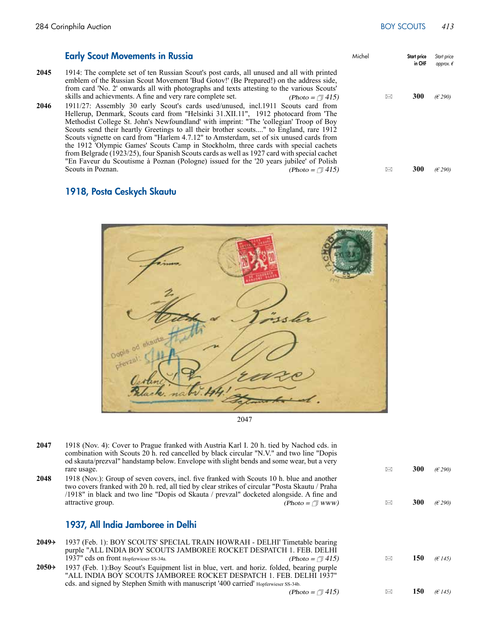#### Michel Start price in CHF *Start price approx. €* 1914: The complete set of ten Russian Scout's post cards, all unused and all with printed emblem of the Russian Scout Movement 'Bud Gotov!' (Be Prepared!) on the address side, from card 'No. 2' onwards all with photographs and texts attesting to the various Scouts' skills and achievments. A fine and very rare complete set. (Photo =  $\pi$  415)  $\approx$  300 *(€ 290)* 1911/27: Assembly 30 early Scout's cards used/unused, incl.1911 Scouts card from Hellerup, Denmark, Scouts card from "Helsinki 31.XII.11", 1912 photocard from 'The Methodist College St. John's Newfoundland' with imprint: "The 'collegian' Troop of Boy Scouts send their heartly Greetings to all their brother scouts...." to England, rare 1912 Scouts vignette on card from "Harlem 4.7.12" to Amsterdam, set of six unused cards from the 1912 'Olympic Games' Scouts Camp in Stockholm, three cards with special cachets from Belgrade (1923/25), four Spanish Scouts cards as well as 1927 card with special cachet "En Faveur du Scoutisme à Poznan (Pologne) issued for the '20 years jubilee' of Polish Scouts in Poznan. Scouts in Poznan. 6 **300 (** $\epsilon$  290) **2045** (Photo =  $\sqrt{1415}$ ) **2046** Early Scout Movements in Russia

### 1918, Posta Ceskych Skautu



1918 (Nov. 4): Cover to Prague franked with Austria Karl I. 20 h. tied by Nachod cds. in combination with Scouts 20 h. red cancelled by black circular "N.V." and two line "Dopis od skauta/prezval" handstamp below. Envelope with slight bends and some wear, but a very rare usage. **300** *(€ 290)* **300** *(* $\epsilon$  *290)* 1918 (Nov.): Group of seven covers, incl. five franked with Scouts 10 h. blue and another two covers franked with 20 h. red, all tied by clear strikes of circular "Posta Skautu / Praha /1918" in black and two line "Dopis od Skauta / prevzal" docketed alongside. A fine and attractive group.  $\Box$  **300** *(E290)*  $\Box$  **300** *(E290)* 1937, All India Jamboree in Delhi 1937 (Feb. 1): BOY SCOUTS' SPECIAL TRAIN HOWRAH - DELHI' Timetable bearing purple "ALL INDIA BOY SCOUTS JAMBOREE ROCKET DESPATCH 1. FEB. DELHI 1937" cds on front Hopferwieser SS-34a. (Photo =  $\sqrt{1415}$ ) 150 *(€ 145)* 150 *(€ 145)* 1937 (Feb. 1):Boy Scout's Equipment list in blue, vert. and horiz. folded, bearing purple "ALL INDIA BOY SCOUTS JAMBOREE ROCKET DESPATCH 1. FEB. DELHI 1937" cds. and signed by Stephen Smith with manuscript '400 carried' Hopferwieser SS-34b.  $(Photo = \Box 415)$   $\boxtimes$  150  $(6145)$ **2047 2048**  $2049\rightarrow$ (Photo =  $\sqrt{ }$  415)  $2050+$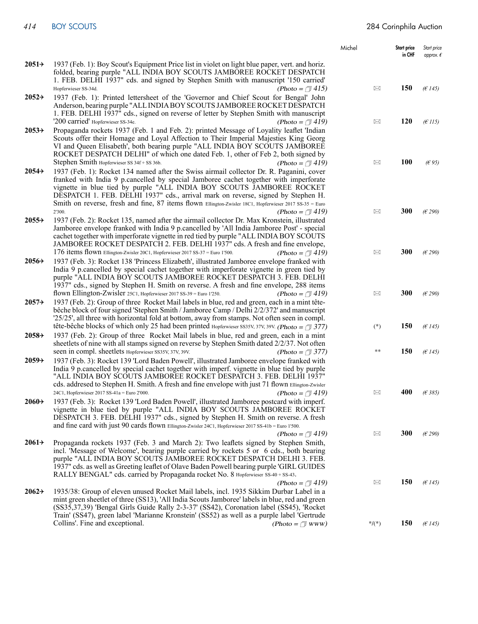|                    |                                                                                                                                                                                                                                                                                                                                                                                                                                                           | Michel          | Start price<br>in CHF | Start price<br>approx. $\epsilon$ |
|--------------------|-----------------------------------------------------------------------------------------------------------------------------------------------------------------------------------------------------------------------------------------------------------------------------------------------------------------------------------------------------------------------------------------------------------------------------------------------------------|-----------------|-----------------------|-----------------------------------|
| $2051+$            | 1937 (Feb. 1): Boy Scout's Equipment Price list in violet on light blue paper, vert. and horiz.<br>folded, bearing purple "ALL INDIA BOY SCOUTS JAMBOREE ROCKET DESPATCH<br>1. FEB. DELHI 1937" cds. and signed by Stephen Smith with manuscript '150 carried'                                                                                                                                                                                            |                 |                       |                                   |
|                    | Hopferwieser SS-34d.<br>(Photo = $\sqrt{ } 415$ )                                                                                                                                                                                                                                                                                                                                                                                                         | $\boxtimes$     | 150                   | (E145)                            |
| $2052 \rightarrow$ | 1937 (Feb. 1): Printed lettersheet of the 'Governor and Chief Scout for Bengal' John<br>Anderson, bearing purple "ALL INDIA BOY SCOUTS JAMBOREE ROCKET DESPATCH<br>1. FEB. DELHI 1937" cds., signed on reverse of letter by Stephen Smith with manuscript                                                                                                                                                                                                 |                 |                       |                                   |
|                    | '200 carried' Hopferwieser SS-34e.<br>(Photo = $\sqrt{ }$ 419)                                                                                                                                                                                                                                                                                                                                                                                            | ⊠               | 120                   | (E115)                            |
| $2053+$            | Propaganda rockets 1937 (Feb. 1 and Feb. 2): printed Message of Loyality leaflet 'Indian<br>Scouts offer their Homage and Loyal Affection to Their Imperial Majesties King Georg<br>VI and Queen Elisabeth', both bearing purple "ALL INDIA BOY SCOUTS JAMBOREE<br>ROCKET DESPATCH DELHI" of which one dated Feb. 1, other of Feb 2, both signed by                                                                                                       |                 |                       |                                   |
|                    | Stephen Smith Hopferwieser SS 34f + SS 36b.<br>(Photo = $\sqrt{ } 419$ )                                                                                                                                                                                                                                                                                                                                                                                  | ⊠               | <b>100</b>            | (E95)                             |
| $2054\rightarrow$  | 1937 (Feb. 1): Rocket 134 named after the Swiss airmail collector Dr. R. Paganini, cover<br>franked with India 9 p.cancelled by special Jamboree cachet together with imperforate<br>vignette in blue tied by purple "ALL INDIA BOY SCOUTS JAMBOREE ROCKET<br>DESPATCH 1. FEB. DELHI 1937" cds., arrival mark on reverse, signed by Stephen H.<br>Smith on reverse, fresh and fine, 87 items flown Ellington-Zwisler 18C1, Hopferwieser 2017 SS-35 = Euro |                 |                       |                                   |
|                    | 2'300.<br>(Photo = $\sqrt{ }$ 419)                                                                                                                                                                                                                                                                                                                                                                                                                        | $\boxtimes$     | 300                   | (E290)                            |
| $2055+$            | 1937 (Feb. 2): Rocket 135, named after the airmail collector Dr. Max Kronstein, illustrated<br>Jamboree envelope franked with India 9 p.cancelled by 'All India Jamboree Post' - special<br>cachet together with imperforate vignette in red tied by purple "ALL INDIA BOY SCOUTS"<br>JAMBOREE ROCKET DESPATCH 2. FEB. DELHI 1937" cds. A fresh and fine envelope,                                                                                        |                 |                       |                                   |
|                    | 176 items flown Ellington-Zwisler 20C1, Hopferwieser 2017 SS-37 = Euro 1'500.<br>(Photo = $\sqrt{ }$ 419)                                                                                                                                                                                                                                                                                                                                                 | $\boxtimes$     | 300                   | (E290)                            |
| $2056\rightarrow$  | 1937 (Feb. 3): Rocket 138 'Princess Elizabeth', illustrated Jamboree envelope franked with<br>India 9 p. cancelled by special cachet together with imperforate vignette in green tied by<br>purple "ALL INDIA BOY SCOUTS JAMBOREE ROCKET DESPATCH 3. FEB. DELHI<br>1937" cds., signed by Stephen H. Smith on reverse. A fresh and fine envelope, 288 items                                                                                                |                 |                       |                                   |
|                    | flown Ellington-Zwisler 25C1, Hopferwieser 2017 SS-39 = Euro 1'250.<br>(Photo = $\sqrt{ } 419$ )                                                                                                                                                                                                                                                                                                                                                          | ⊠               | 300                   | (E290)                            |
| $2057 \rightarrow$ | 1937 (Feb. 2): Group of three Rocket Mail labels in blue, red and green, each in a mint tête-<br>bêche block of four signed 'Stephen Smith / Jamboree Camp / Delhi 2/2/372' and manuscript<br>'25/25', all three with horizontal fold at bottom, away from stamps. Not often seen in compl.<br>tête-bêche blocks of which only 25 had been printed Hopferwieser SS35V, 37V, 39V. (Photo = $\sqrt{377}$ )                                                  | $(*)$           | 150                   | (E145)                            |
| $2058+$            | 1937 (Feb. 2): Group of three Rocket Mail labels in blue, red and green, each in a mint<br>sheetlets of nine with all stamps signed on reverse by Stephen Smith dated 2/2/37. Not often                                                                                                                                                                                                                                                                   |                 |                       |                                   |
|                    | seen in compl. sheetlets Hopferwieser SS35V, 37V, 39V.<br>(Photo = $\sqrt{ }$ 377)                                                                                                                                                                                                                                                                                                                                                                        | **              | 150                   | (E145)                            |
| $2059+$            | 1937 (Feb. 3): Rocket 139 'Lord Baden Powell', illustrated Jamboree envelope franked with<br>India 9 p.cancelled by special cachet together with imperf. vignette in blue tied by purple<br>"ALL INDIA BOY SCOUTS JAMBOREE ROCKET DESPATCH 3. FEB. DELHI 1937"<br>cds. addresed to Stephen H. Smith. A fresh and fine envelope with just 71 flown Ellington-Zwisler                                                                                       |                 |                       |                                   |
|                    | 24C1, Hopferwieser 2017 SS-41a = Euro 2'000.<br>(Photo = $\sqrt{ } 419$ )                                                                                                                                                                                                                                                                                                                                                                                 | $\boxtimes$     | 400                   | (E385)                            |
| $2060 \rightarrow$ | 1937 (Feb. 3): Rocket 139 'Lord Baden Powell', illustrated Jamboree postcard with imperf.<br>vignette in blue tied by purple "ALL INDIA BOY SCOUTS JAMBOREE ROCKET<br>DESPATCH 3. FEB. DELHI 1937" cds., signed by Stephen H. Smith on reverse. A fresh<br>and fine card with just 90 cards flown Ellington-Zwisler 24C1, Hopferwieser 2017 SS-41b = Euro 1'500.                                                                                          |                 |                       |                                   |
|                    | (Photo = $\sqrt{ }$ 419)                                                                                                                                                                                                                                                                                                                                                                                                                                  | ⊠               | 300                   | (E290)                            |
| $2061+$            | Propaganda rockets 1937 (Feb. 3 and March 2): Two leaflets signed by Stephen Smith,<br>incl. 'Message of Welcome', bearing purple carried by rockets 5 or 6 cds., both bearing<br>purple "ALL INDIA BOY SCOUTS JAMBOREE ROCKET DESPATCH DELHI 3. FEB.<br>1937" cds. as well as Greeting leaflet of Olave Baden Powell bearing purple 'GIRL GUIDES<br>RALLY BENGAL" cds. carried by Propaganda rocket No. 8 Hopferwieser SS-40 + SS-43.                    |                 |                       |                                   |
|                    | (Photo = $\sqrt{ } 419$ )                                                                                                                                                                                                                                                                                                                                                                                                                                 | $\boxtimes$     | 150                   | (E145)                            |
| $2062+$            | 1935/38: Group of eleven unused Rocket Mail labels, incl. 1935 Sikkim Durbar Label in a<br>mint green sheetlet of three (SS13), 'All India Scouts Jamboree' labels in blue, red and green<br>(SS35,37,39) 'Bengal Girls Guide Rally 2-3-37' (SS42), Coronation label (SS45), 'Rocket<br>Train' (SS47), green label 'Marianne Kronstein' (SS52) as well as a purple label 'Gertrude                                                                        |                 |                       |                                   |
|                    | Collins'. Fine and exceptional.<br>$(Photo = \sqrt{\sqrt{N}}$ WWW)                                                                                                                                                                                                                                                                                                                                                                                        | $\frac{*}{(*)}$ | 150                   | (E145)                            |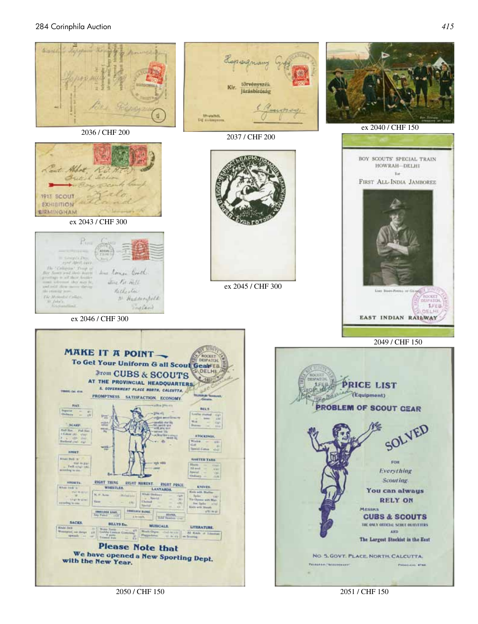

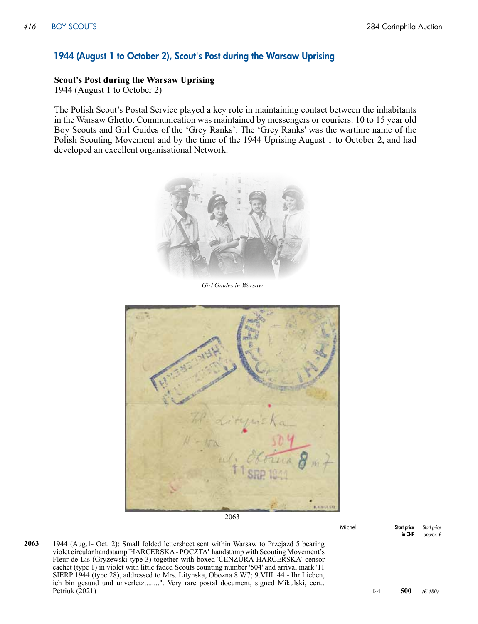#### 1944 (August 1 to October 2), Scout's Post during the Warsaw Uprising

#### **Scout's Post during the Warsaw Uprising**

1944 (August 1 to October 2)

The Polish Scout's Postal Service played a key role in maintaining contact between the inhabitants in the Warsaw Ghetto. Communication was maintained by messengers or couriers: 10 to 15 year old Boy Scouts and Girl Guides of the 'Grey Ranks'. The 'Grey Ranks' was the wartime name of the Polish Scouting Movement and by the time of the 1944 Uprising August 1 to October 2, and had developed an excellent organisational Network.



*Girl Guides in Warsaw*



2063

Michel Start price in CHF *Start price approx. €*

1944 (Aug.1- Oct. 2): Small folded lettersheet sent within Warsaw to Przejazd 5 bearing violet circular handstamp 'HARCERSKA - POCZTA' handstamp with Scouting Movement's Fleur-de-Lis (Gryzewski type 3) together with boxed 'CENZURA HARCERSKA' censor cachet (type 1) in violet with little faded Scouts counting number '504' and arrival mark '11 SIERP 1944 (type 28), addressed to Mrs. Litynska, Obozna 8 W7; 9.VIII. 44 - Ihr Lieben, ich bin gesund und unverletzt.......". Very rare postal document, signed Mikulski, cert.. **Petriuk (2021)** 6 **500** *(* $\epsilon$  *480)* 6 **500** *(* $\epsilon$  *480)* 6 **500 6** 6 **500 6 500 6 500 6 500 6 500 6 500 6 500 6 500 6 500 6 500 6 500 6 500 6 500 6 500 6 500 6 2063**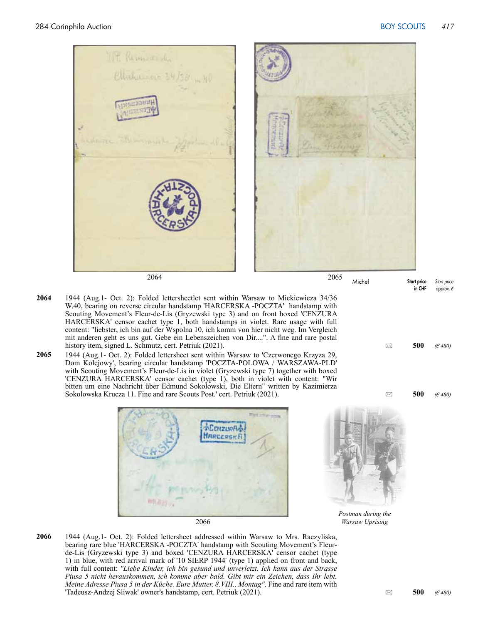

2064 2065

- 1944 (Aug.1- Oct. 2): Folded lettersheetlet sent within Warsaw to Mickiewicza 34/36 W.40, bearing on reverse circular handstamp 'HARCERSKA -POCZTA' handstamp with Scouting Movement's Fleur-de-Lis (Gryzewski type 3) and on front boxed 'CENZURA HARCERSKA' censor cachet type 1, both handstamps in violet. Rare usage with full content: "liebster, ich bin auf der Wspolna 10, ich komm von hier nicht weg. Im Vergleich mit anderen geht es uns gut. Gebe ein Lebenszeichen von Dir....". A fine and rare postal history item, signed L. Schmutz, cert. Petriuk (2021). 6 **500 6**  $(6480)$  **500 6**  $(6480)$ **2064**
- 1944 (Aug.1- Oct. 2): Folded lettersheet sent within Warsaw to 'Czerwonego Krzyza 29, Dom Kolejowy', bearing circular handstamp 'POCZTA-POLOWA / WARSZAWA-PLD' with Scouting Movement's Fleur-de-Lis in violet (Gryzewski type 7) together with boxed 'CENZURA HARCERSKA' censor cachet (type 1), both in violet with content: "Wir bitten um eine Nachricht über Edmund Sokolowski, Die Eltern" written by Kazimierza Sokolowska Krucza 11. Fine and rare Scouts Post.' cert. Petriuk (2021). 500 **6480 500 6480 2065**





Michel Start price

in CHF

*Start price approx. €*

*Postman during the*

1944 (Aug.1- Oct. 2): Folded lettersheet addressed within Warsaw to Mrs. Raczyliska, bearing rare blue 'HARCERSKA -POCZTA' handstamp with Scouting Movement's Fleurde-Lis (Gryzewski type 3) and boxed 'CENZURA HARCERSKA' censor cachet (type 1) in blue, with red arrival mark of '10 SIERP 1944' (type 1) applied on front and back, with full content: *"Liebe Kinder, ich bin gesund und unverletzt. Ich kann aus der Strasse Piusa 5 nicht herauskommen, ich komme aber bald. Gibt mir ein Zeichen, dass Ihr lebt. Meine Adresse Piusa 5 in der Küche. Eure Mutter, 8.VIII., Montag"*. Fine and rare item with  $\Box$  Tadeusz-Andzej Sliwak' owner's handstamp, cert. Petriuk (2021).  $\Box$  500 *(€ 480)* **2066**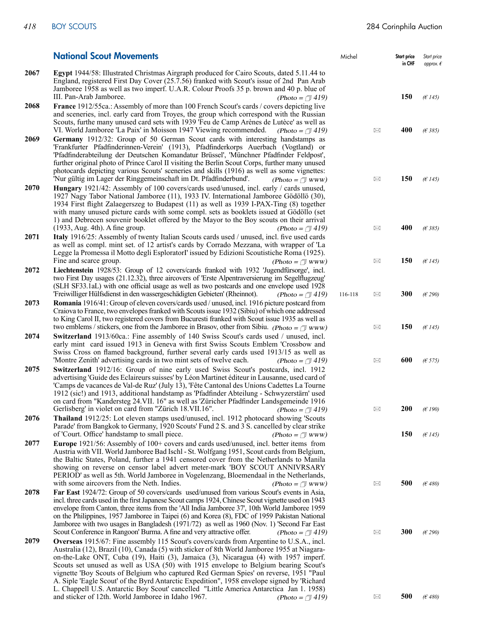|      | <b>National Scout Movements</b>                                                                                                                                                                                                                                                                                                                                                                                                                                                                                                                                                                                                                                                                                                                                                                                                                | Michel  |             | Start price<br>in CHF | Start price<br>approx. $\epsilon$ |
|------|------------------------------------------------------------------------------------------------------------------------------------------------------------------------------------------------------------------------------------------------------------------------------------------------------------------------------------------------------------------------------------------------------------------------------------------------------------------------------------------------------------------------------------------------------------------------------------------------------------------------------------------------------------------------------------------------------------------------------------------------------------------------------------------------------------------------------------------------|---------|-------------|-----------------------|-----------------------------------|
| 2067 | <b>Egypt</b> 1944/58: Illustrated Christmas Airgraph produced for Cairo Scouts, dated 5.11.44 to<br>England, registered First Day Cover (25.7.56) franked with Scout's issue of 2nd Pan Arab<br>Jamboree 1958 as well as two imperf. U.A.R. Colour Proofs 35 p. brown and 40 p. blue of                                                                                                                                                                                                                                                                                                                                                                                                                                                                                                                                                        |         |             |                       |                                   |
| 2068 | III. Pan-Arab Jamboree.<br>(Photo = $\sqrt{ }$ 419)<br><b>France</b> 1912/55ca.: Assembly of more than 100 French Scout's cards / covers depicting live<br>and sceneries, incl. early card from Troyes, the group which correspond with the Russian<br>Scouts, furthe many unused card sets with 1939 'Feu de Camp Arènes de Lutèce' as well as                                                                                                                                                                                                                                                                                                                                                                                                                                                                                                |         |             | 150                   | (E145)                            |
| 2069 | VI. World Jamboree 'La Paix' in Moisson 1947 Viewing recommended.<br>(Photo = $\sqrt{ }$ 419)<br>Germany 1912/32: Group of 50 German Scout cards with interesting handstamps as<br>'Frankfurter Pfadfinderinnen-Verein' (1913), Pfadfinderkorps Auerbach (Vogtland) or<br>'Pfadfinderabteilung der Deutschen Komandatur Brüssel', 'Münchner Pfadfinder Feldpost',<br>further original photo of Prince Carol II visiting the Berlin Scout Corps, further many unused<br>photocards depicting various Scouts' sceneries and skills (1916) as well as some vignettes:                                                                                                                                                                                                                                                                             |         | ⊠           | 400                   | (E385)                            |
| 2070 | 'Nur gültig im Lager der Ringgemeinschaft im Dt. Pfadfinderbund'.<br>$(Photo = \sqrt{\pi}$ www)<br>Hungary 1921/42: Assembly of 100 covers/cards used/unused, incl. early / cards unused,<br>1927 Nagy Tabor National Jamboree (11), 1933 IV. International Jamboree Gödöllö (30),<br>1934 First flight Zalaegerszeg to Budapest (11) as well as 1939 I-PAX-Ting (8) together<br>with many unused picture cards with some compl. sets as booklets issued at Gödöllo (set<br>1) and Debrecen souvenir booklet offered by the Mayor to the Boy scouts on their arrival                                                                                                                                                                                                                                                                           |         | $\boxtimes$ | 150                   | (E145)                            |
| 2071 | $(1933, Aug. 4th)$ . A fine group.<br>(Photo = $\sqrt{ }$ 419)<br>Italy 1916/25: Assembly of twenty Italian Scouts cards used / unused, incl. five used cards<br>as well as compl. mint set. of 12 artist's cards by Corrado Mezzana, with wrapper of 'La<br>Legge la Promessa il Motto degli Esploratori' issued by Edizioni Scoutistiche Roma (1925).                                                                                                                                                                                                                                                                                                                                                                                                                                                                                        |         | ⊠           | 400                   | (E385)                            |
| 2072 | Fine and scarce group.<br>$(Photo = \sqrt{\pi}$ www)<br>Liechtenstein 1928/53: Group of 12 covers/cards franked with 1932 'Jugendfürsorge', incl.<br>two First Day usages (21.12.32), three aircovers of 'Erste Alpentraversierung im Segelflugzeug'<br>(SLH SF33.1aL) with one official usage as well as two postcards and one envelope used 1928                                                                                                                                                                                                                                                                                                                                                                                                                                                                                             |         | ⊠           | 150                   | (E145)                            |
| 2073 | 'Freiwilliger Hülfsdienst in den wassergeschädigten Gebieten' (Rheinnot).<br>(Photo = $\sqrt{ }$ 419)<br><b>Romania</b> 1916/41: Group of eleven covers/cards used / unused, incl. 1916 picture postcard from<br>Craiova to France, two envelopes franked with Scouts issue 1932 (Sibiu) of which one addressed<br>to King Carol II, two registered covers from Bucuresti franked with Scout issue 1935 as well as                                                                                                                                                                                                                                                                                                                                                                                                                             | 116-118 | ⊠           | 300                   | (E290)                            |
| 2074 | two emblems / stickers, one from the Jamboree in Brasov, other from Sibiu. (Photo = $\sqrt{\pi}$ www)<br>Switzerland 1913/60ca.: Fine assembly of 140 Swiss Scout's cards used / unused, incl.<br>early mint card issued 1913 in Geneva with first Swiss Scouts Emblem 'Crossbow and<br>Swiss Cross on flamed background, further several early cards used 1913/15 as well as                                                                                                                                                                                                                                                                                                                                                                                                                                                                  |         | ⊠           | 150                   | (E145)                            |
| 2075 | 'Montre Zenith' advertising cards in two mint sets of twelve each.<br>(Photo = $\sqrt{ }$ 419)<br><b>Switzerland</b> 1912/16: Group of nine early used Swiss Scout's postcards, incl. 1912<br>advertising 'Guide des Eclaireurs suisses' by Léon Martinet éditeur in Lausanne, used card of<br>'Camps de vacances de Val-de Ruz' (July 13), 'Fête Cantonal des Unions Cadettes La Tourne<br>1912 (sic!) and 1913, additional handstamp as 'Pfadfinder Abteilung - Schwyzerstärn' used<br>on card from "Kandersteg 24.VII. 16" as well as 'Züricher Pfadfinder Landsgemeinde 1916                                                                                                                                                                                                                                                               |         | ⊠           | 600                   | (E 575)                           |
| 2076 | Gerlisberg' in violet on card from "Zürich 18.VII.16".<br>(Photo = $\sqrt{ } 419$ )<br>Thailand 1912/25: Lot eleven stamps used/unused, incl. 1912 photocard showing 'Scouts<br>Parade' from Bangkok to Germany, 1920 Scouts' Fund 2 S. and 3 S. cancelled by clear strike                                                                                                                                                                                                                                                                                                                                                                                                                                                                                                                                                                     |         | ⊠           | <b>200</b>            | (E190)                            |
| 2077 | of 'Court. Office' handstamp to small piece.<br>$(Photo = \sqrt{\sqrt{N}}$ WWW)<br>Europe 1921/56: Assembly of 100+ covers and cards used/unused, incl. better items from<br>Austria with VII. World Jamboree Bad Ischl - St. Wolfgang 1951, Scout cards from Belgium,<br>the Baltic States, Poland, further a 1941 censored cover from the Netherlands to Manila<br>showing on reverse on censor label advert meter-mark 'BOY SCOUT ANNIVRSARY<br>PERIOD' as well as 5th. World Jamboree in Vogelenzang, Bloemendaal in the Netherlands,                                                                                                                                                                                                                                                                                                      |         |             | 150                   | (E145)                            |
| 2078 | with some aircovers from the Neth. Indies.<br>$(Photo = \sqrt{7}$ www)<br>Far East 1924/72: Group of 50 covers/cards used/unused from various Scout's events in Asia,<br>incl. three cards used in the first Japanese Scout camps 1924, Chinese Scout vignette used on 1943<br>envelope from Canton, three items from the 'All India Jamboree 37', 10th World Jamboree 1959<br>on the Philippines, 1957 Jamboree in Taipei (6) and Korea (8), FDC of 1959 Pakistan National<br>Jamboree with two usages in Bangladesh (1971/72) as well as 1960 (Nov. 1) 'Second Far East                                                                                                                                                                                                                                                                      |         | ⊠           | 500                   | (E480)                            |
| 2079 | Scout Conference in Rangoon' Burma. A fine and very attractive offer.<br>(Photo = $\sqrt{ }$ 419)<br>Overseas 1915/67: Fine assembly 115 Scout's covers/cards from Argentine to U.S.A., incl.<br>Australia (12), Brazil (10), Canada (5) with sticker of 8th World Jamboree 1955 at Niagara-<br>on-the-Lake ONT, Cuba (19), Haiti (3), Jamaica (3), Nicaragua (4) with 1957 imperf.<br>Scouts set unused as well as USA (50) with 1915 envelope to Belgium bearing Scout's<br>vignette 'Boy Scouts of Belgium who captured Red German Spies' on reverse, 1951 "Paul<br>A. Siple 'Eagle Scout' of the Byrd Antarctic Expedition", 1958 envelope signed by 'Richard<br>L. Chappell U.S. Antarctic Boy Scout' cancelled "Little America Antarctica Jan 1. 1958)<br>and sticker of 12th. World Jamboree in Idaho 1967.<br>(Photo = $\sqrt{ }$ 419) |         | ⊠<br>⊠      | 300<br>500            | (E290)<br>(E480)                  |